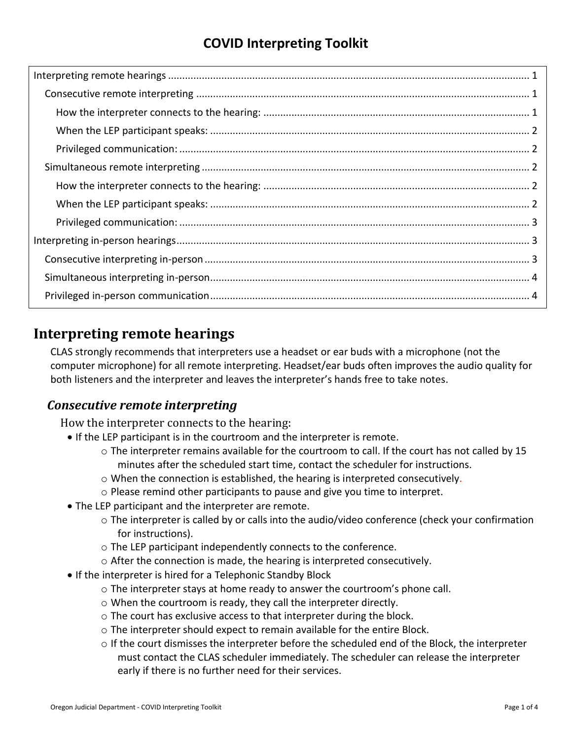# **COVID Interpreting Toolkit**

## <span id="page-0-0"></span>**Interpreting remote hearings**

CLAS strongly recommends that interpreters use a headset or ear buds with a microphone (not the computer microphone) for all remote interpreting. Headset/ear buds often improves the audio quality for both listeners and the interpreter and leaves the interpreter's hands free to take notes.

## <span id="page-0-2"></span><span id="page-0-1"></span>*Consecutive remote interpreting*

How the interpreter connects to the hearing:

- If the LEP participant is in the courtroom and the interpreter is remote.
	- o The interpreter remains available for the courtroom to call. If the court has not called by 15 minutes after the scheduled start time, contact the scheduler for instructions.
	- $\circ$  When the connection is established, the hearing is interpreted consecutively.
	- o Please remind other participants to pause and give you time to interpret.
- The LEP participant and the interpreter are remote.
	- $\circ$  The interpreter is called by or calls into the audio/video conference (check your confirmation for instructions).
	- o The LEP participant independently connects to the conference.
	- $\circ$  After the connection is made, the hearing is interpreted consecutively.
- If the interpreter is hired for a Telephonic Standby Block
	- $\circ$  The interpreter stays at home ready to answer the courtroom's phone call.
	- o When the courtroom is ready, they call the interpreter directly.
	- o The court has exclusive access to that interpreter during the block.
	- o The interpreter should expect to remain available for the entire Block.
	- $\circ$  If the court dismisses the interpreter before the scheduled end of the Block, the interpreter must contact the CLAS scheduler immediately. The scheduler can release the interpreter early if there is no further need for their services.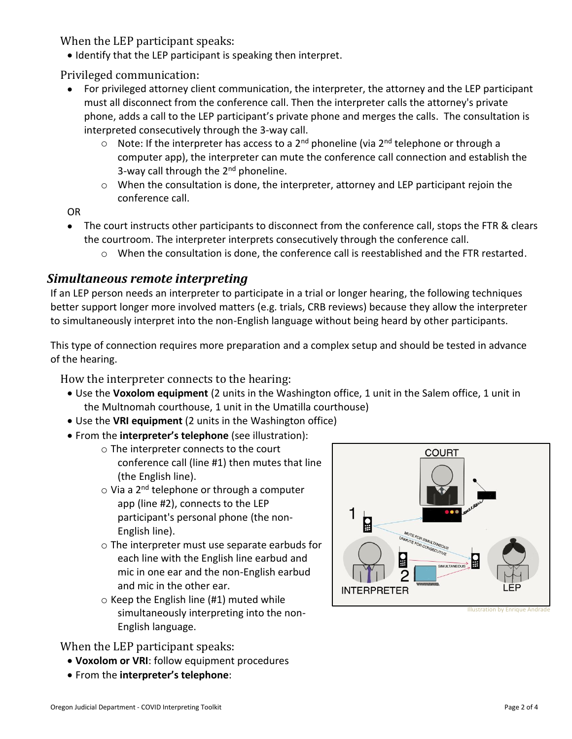<span id="page-1-0"></span>When the LEP participant speaks:

• Identify that the LEP participant is speaking then interpret.

<span id="page-1-1"></span>Privileged communication:

- For privileged attorney client communication, the interpreter, the attorney and the LEP participant must all disconnect from the conference call. Then the interpreter calls the attorney's private phone, adds a call to the LEP participant's private phone and merges the calls. The consultation is interpreted consecutively through the 3-way call.
	- $\circ$  Note: If the interpreter has access to a 2<sup>nd</sup> phoneline (via 2<sup>nd</sup> telephone or through a computer app), the interpreter can mute the conference call connection and establish the 3-way call through the 2<sup>nd</sup> phoneline.
	- o When the consultation is done, the interpreter, attorney and LEP participant rejoin the conference call.

OR

- The court instructs other participants to disconnect from the conference call, stops the FTR & clears the courtroom. The interpreter interprets consecutively through the conference call.
	- $\circ$  When the consultation is done, the conference call is reestablished and the FTR restarted.

#### <span id="page-1-2"></span>*Simultaneous remote interpreting*

If an LEP person needs an interpreter to participate in a trial or longer hearing, the following techniques better support longer more involved matters (e.g. trials, CRB reviews) because they allow the interpreter to simultaneously interpret into the non-English language without being heard by other participants.

This type of connection requires more preparation and a complex setup and should be tested in advance of the hearing.

<span id="page-1-3"></span>How the interpreter connects to the hearing:

- Use the **Voxolom equipment** (2 units in the Washington office, 1 unit in the Salem office, 1 unit in the Multnomah courthouse, 1 unit in the Umatilla courthouse)
- Use the **VRI equipment** (2 units in the Washington office)
- From the **interpreter's telephone** (see illustration):
	- o The interpreter connects to the court conference call (line #1) then mutes that line (the English line).
	- $\circ$  Via a 2<sup>nd</sup> telephone or through a computer app (line #2), connects to the LEP participant's personal phone (the non-English line).
	- o The interpreter must use separate earbuds for each line with the English line earbud and mic in one ear and the non-English earbud and mic in the other ear.
	- $\circ$  Keep the English line (#1) muted while simultaneously interpreting into the non-English language.

<span id="page-1-4"></span>When the LEP participant speaks:

- **Voxolom or VRI**: follow equipment procedures
- From the **interpreter's telephone**:



**Illustration by Enrique Andr**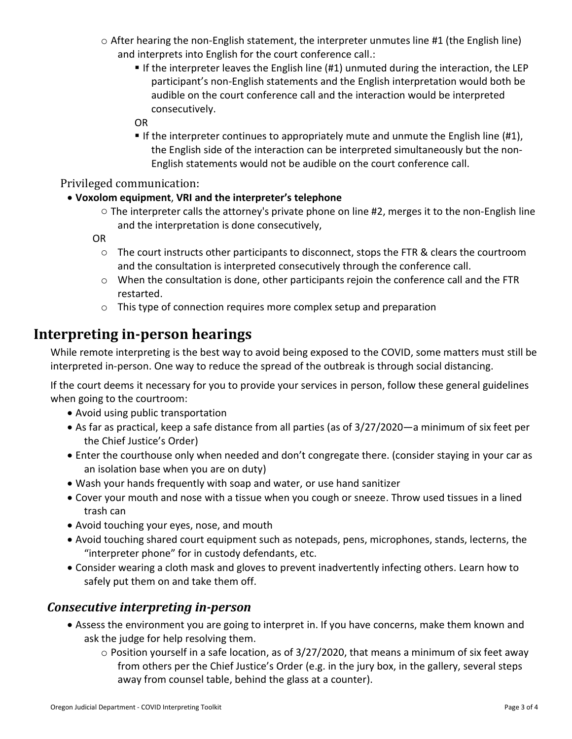- o After hearing the non-English statement, the interpreter unmutes line #1 (the English line) and interprets into English for the court conference call.:
	- If the interpreter leaves the English line (#1) unmuted during the interaction, the LEP participant's non-English statements and the English interpretation would both be audible on the court conference call and the interaction would be interpreted consecutively.
	- OR
	- **If the interpreter continues to appropriately mute and unmute the English line (#1),** the English side of the interaction can be interpreted simultaneously but the non-English statements would not be audible on the court conference call.

<span id="page-2-0"></span>Privileged communication:

#### • **Voxolom equipment**, **VRI and the interpreter's telephone**

 $\circ$  The interpreter calls the attorney's private phone on line #2, merges it to the non-English line and the interpretation is done consecutively,

OR

- $\circ$  The court instructs other participants to disconnect, stops the FTR & clears the courtroom and the consultation is interpreted consecutively through the conference call.
- o When the consultation is done, other participants rejoin the conference call and the FTR restarted.
- o This type of connection requires more complex setup and preparation

# <span id="page-2-1"></span>**Interpreting in-person hearings**

While remote interpreting is the best way to avoid being exposed to the COVID, some matters must still be interpreted in-person. One way to reduce the spread of the outbreak is through social distancing.

If the court deems it necessary for you to provide your services in person, follow these general guidelines when going to the courtroom:

- Avoid using public transportation
- As far as practical, keep a safe distance from all parties (as of 3/27/2020—a minimum of six feet per the Chief Justice's Order)
- Enter the courthouse only when needed and don't congregate there. (consider staying in your car as an isolation base when you are on duty)
- Wash your hands frequently with soap and water, or use hand sanitizer
- Cover your mouth and nose with a tissue when you cough or sneeze. Throw used tissues in a lined trash can
- Avoid touching your eyes, nose, and mouth
- Avoid touching shared court equipment such as notepads, pens, microphones, stands, lecterns, the "interpreter phone" for in custody defendants, etc.
- Consider wearing a cloth mask and gloves to prevent inadvertently infecting others. Learn how to safely put them on and take them off.

## <span id="page-2-2"></span>*Consecutive interpreting in-person*

- Assess the environment you are going to interpret in. If you have concerns, make them known and ask the judge for help resolving them.
	- $\circ$  Position yourself in a safe location, as of 3/27/2020, that means a minimum of six feet away from others per the Chief Justice's Order (e.g. in the jury box, in the gallery, several steps away from counsel table, behind the glass at a counter).